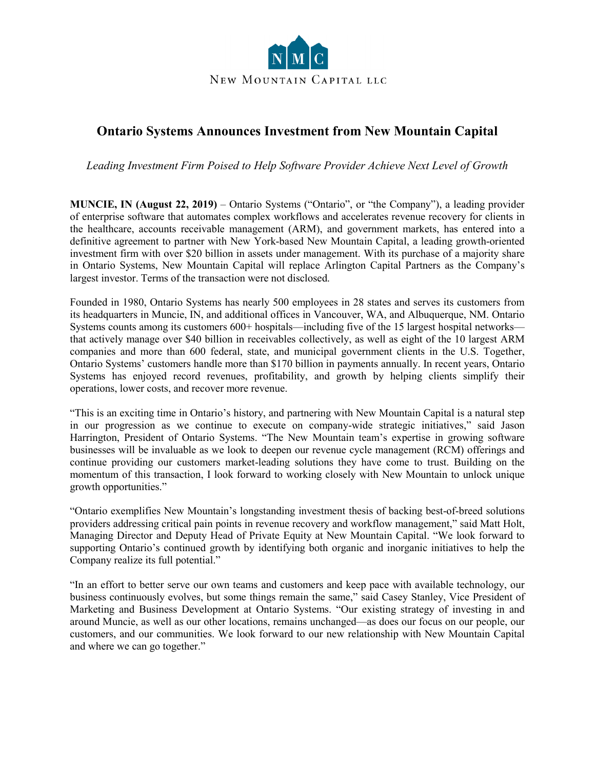

# **Ontario Systems Announces Investment from New Mountain Capital**

*Leading Investment Firm Poised to Help Software Provider Achieve Next Level of Growth*

**MUNCIE, IN (August 22, 2019)** – Ontario Systems ("Ontario", or "the Company"), a leading provider of enterprise software that automates complex workflows and accelerates revenue recovery for clients in the healthcare, accounts receivable management (ARM), and government markets, has entered into a definitive agreement to partner with New York-based New Mountain Capital, a leading growth-oriented investment firm with over \$20 billion in assets under management. With its purchase of a majority share in Ontario Systems, New Mountain Capital will replace Arlington Capital Partners as the Company's largest investor. Terms of the transaction were not disclosed.

Founded in 1980, Ontario Systems has nearly 500 employees in 28 states and serves its customers from its headquarters in Muncie, IN, and additional offices in Vancouver, WA, and Albuquerque, NM. Ontario Systems counts among its customers 600+ hospitals—including five of the 15 largest hospital networks that actively manage over \$40 billion in receivables collectively, as well as eight of the 10 largest ARM companies and more than 600 federal, state, and municipal government clients in the U.S. Together, Ontario Systems' customers handle more than \$170 billion in payments annually. In recent years, Ontario Systems has enjoyed record revenues, profitability, and growth by helping clients simplify their operations, lower costs, and recover more revenue.

"This is an exciting time in Ontario's history, and partnering with New Mountain Capital is a natural step in our progression as we continue to execute on company-wide strategic initiatives," said Jason Harrington, President of Ontario Systems. "The New Mountain team's expertise in growing software businesses will be invaluable as we look to deepen our revenue cycle management (RCM) offerings and continue providing our customers market-leading solutions they have come to trust. Building on the momentum of this transaction, I look forward to working closely with New Mountain to unlock unique growth opportunities."

"Ontario exemplifies New Mountain's longstanding investment thesis of backing best-of-breed solutions providers addressing critical pain points in revenue recovery and workflow management," said Matt Holt, Managing Director and Deputy Head of Private Equity at New Mountain Capital. "We look forward to supporting Ontario's continued growth by identifying both organic and inorganic initiatives to help the Company realize its full potential."

"In an effort to better serve our own teams and customers and keep pace with available technology, our business continuously evolves, but some things remain the same," said Casey Stanley, Vice President of Marketing and Business Development at Ontario Systems. "Our existing strategy of investing in and around Muncie, as well as our other locations, remains unchanged—as does our focus on our people, our customers, and our communities. We look forward to our new relationship with New Mountain Capital and where we can go together."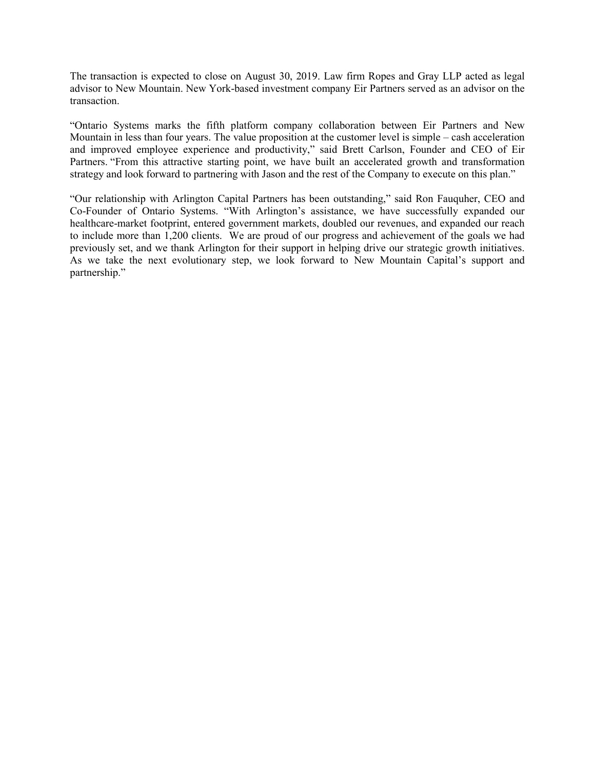The transaction is expected to close on August 30, 2019. Law firm Ropes and Gray LLP acted as legal advisor to New Mountain. New York-based investment company Eir Partners served as an advisor on the transaction.

"Ontario Systems marks the fifth platform company collaboration between Eir Partners and New Mountain in less than four years. The value proposition at the customer level is simple – cash acceleration and improved employee experience and productivity," said Brett Carlson, Founder and CEO of Eir Partners. "From this attractive starting point, we have built an accelerated growth and transformation strategy and look forward to partnering with Jason and the rest of the Company to execute on this plan."

"Our relationship with Arlington Capital Partners has been outstanding," said Ron Fauquher, CEO and Co-Founder of Ontario Systems. "With Arlington's assistance, we have successfully expanded our healthcare-market footprint, entered government markets, doubled our revenues, and expanded our reach to include more than 1,200 clients. We are proud of our progress and achievement of the goals we had previously set, and we thank Arlington for their support in helping drive our strategic growth initiatives. As we take the next evolutionary step, we look forward to New Mountain Capital's support and partnership."